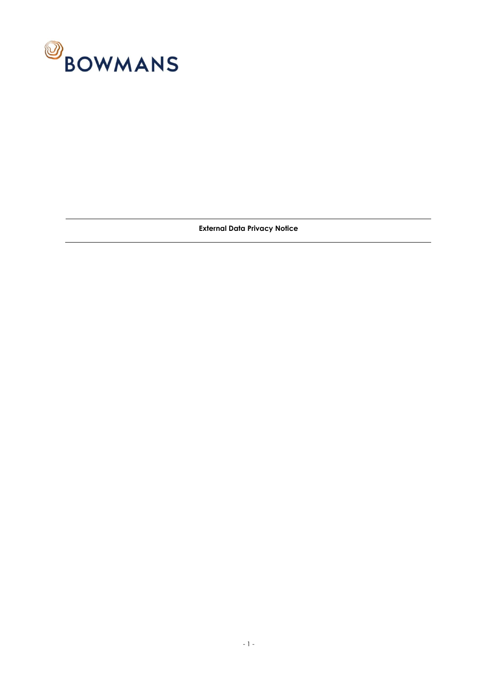

**External Data Privacy Notice**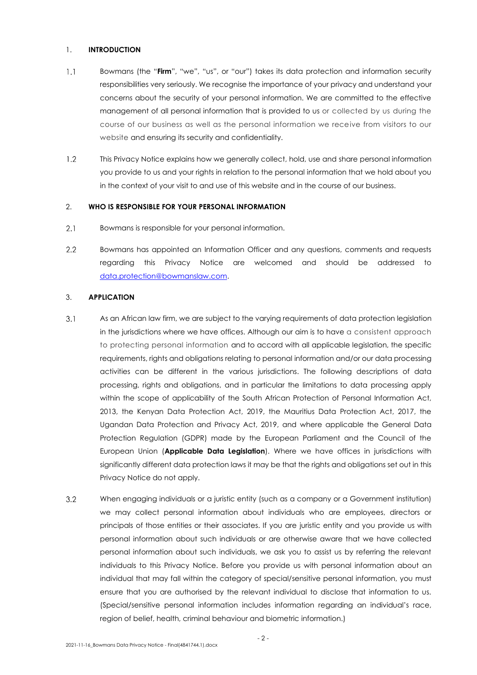#### 1. **INTRODUCTION**

- $1.1$ Bowmans (the "**Firm**", "we", "us", or "our") takes its data protection and information security responsibilities very seriously. We recognise the importance of your privacy and understand your concerns about the security of your personal information. We are committed to the effective management of all personal information that is provided to us or collected by us during the course of our business as well as the personal information we receive from visitors to our website and ensuring its security and confidentiality.
- $1.2$ This Privacy Notice explains how we generally collect, hold, use and share personal information you provide to us and your rights in relation to the personal information that we hold about you in the context of your visit to and use of this website and in the course of our business.

### 2. **WHO IS RESPONSIBLE FOR YOUR PERSONAL INFORMATION**

- $2.1$ Bowmans is responsible for your personal information.
- $2.2$ Bowmans has appointed an Information Officer and any questions, comments and requests regarding this Privacy Notice are welcomed and should be addressed to [data.protection@bowmanslaw.com.](mailto:data.protection@bowmanslaw.com)

### 3. **APPLICATION**

- $3.1$ As an African law firm, we are subject to the varying requirements of data protection legislation in the jurisdictions where we have offices. Although our aim is to have a consistent approach to protecting personal information and to accord with all applicable legislation, the specific requirements, rights and obligations relating to personal information and/or our data processing activities can be different in the various jurisdictions. The following descriptions of data processing, rights and obligations, and in particular the limitations to data processing apply within the scope of applicability of the South African Protection of Personal Information Act, 2013, the Kenyan Data Protection Act, 2019, the Mauritius Data Protection Act, 2017, the Ugandan Data Protection and Privacy Act, 2019, and where applicable the General Data Protection Regulation (GDPR) made by the European Parliament and the Council of the European Union (**Applicable Data Legislation**). Where we have offices in jurisdictions with significantly different data protection laws it may be that the rights and obligations set out in this Privacy Notice do not apply.
- $3.2$ When engaging individuals or a juristic entity (such as a company or a Government institution) we may collect personal information about individuals who are employees, directors or principals of those entities or their associates. If you are juristic entity and you provide us with personal information about such individuals or are otherwise aware that we have collected personal information about such individuals, we ask you to assist us by referring the relevant individuals to this Privacy Notice. Before you provide us with personal information about an individual that may fall within the category of special/sensitive personal information, you must ensure that you are authorised by the relevant individual to disclose that information to us. (Special/sensitive personal information includes information regarding an individual's race, region of belief, health, criminal behaviour and biometric information.)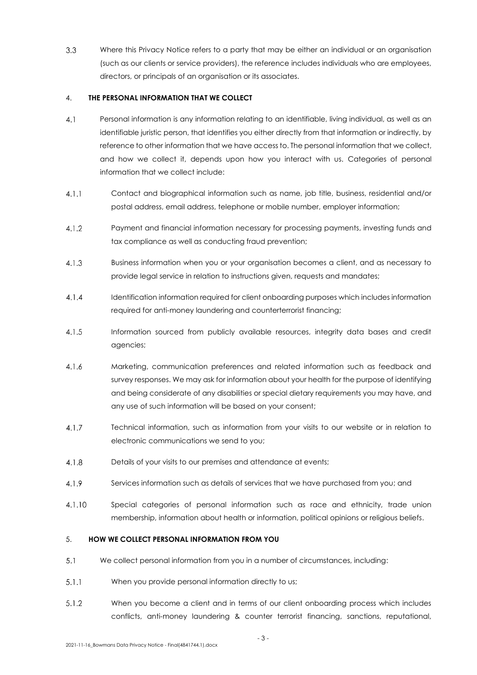$3.3$ Where this Privacy Notice refers to a party that may be either an individual or an organisation (such as our clients or service providers), the reference includes individuals who are employees, directors, or principals of an organisation or its associates.

## 4. **THE PERSONAL INFORMATION THAT WE COLLECT**

- $4.1$ Personal information is any information relating to an identifiable, living individual, as well as an identifiable juristic person, that identifies you either directly from that information or indirectly, by reference to other information that we have access to. The personal information that we collect, and how we collect it, depends upon how you interact with us. Categories of personal information that we collect include:
- $4.1.1$ Contact and biographical information such as name, job title, business, residential and/or postal address, email address, telephone or mobile number, employer information;
- $4.1.2$ Payment and financial information necessary for processing payments, investing funds and tax compliance as well as conducting fraud prevention;
- Business information when you or your organisation becomes a client, and as necessary to  $4.1.3$ provide legal service in relation to instructions given, requests and mandates;
- $4.1.4$ Identification information required for client onboarding purposes which includes information required for anti-money laundering and counterterrorist financing;
- $4.1.5$ Information sourced from publicly available resources, integrity data bases and credit agencies;
- $4.1.6$ Marketing, communication preferences and related information such as feedback and survey responses. We may ask for information about your health for the purpose of identifying and being considerate of any disabilities or special dietary requirements you may have, and any use of such information will be based on your consent;
- $4.1.7$ Technical information, such as information from your visits to our website or in relation to electronic communications we send to you;
- $4.1.8$ Details of your visits to our premises and attendance at events;
- $4.1.9$ Services information such as details of services that we have purchased from you; and
- $4.1.10$ Special categories of personal information such as race and ethnicity, trade union membership, information about health or information, political opinions or religious beliefs.

# 5. **HOW WE COLLECT PERSONAL INFORMATION FROM YOU**

- $5.1$ We collect personal information from you in a number of circumstances, including:
- $5.1.1$ When you provide personal information directly to us;
- $5.1.2$ When you become a client and in terms of our client onboarding process which includes conflicts, anti-money laundering & counter terrorist financing, sanctions, reputational,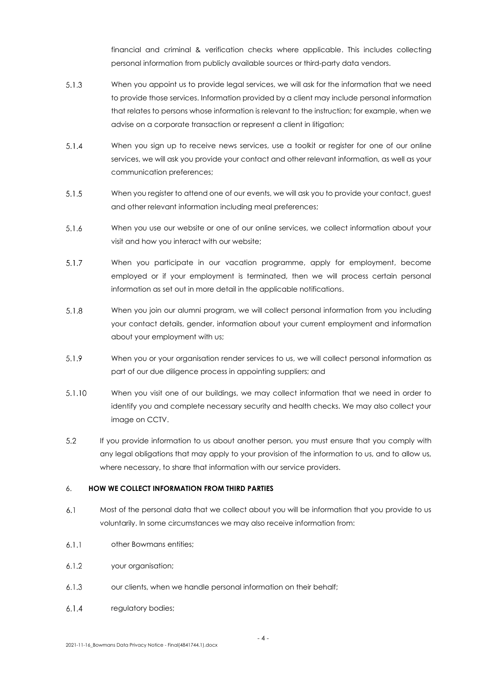financial and criminal & verification checks where applicable. This includes collecting personal information from publicly available sources or third-party data vendors.

- $5.1.3$ When you appoint us to provide legal services, we will ask for the information that we need to provide those services. Information provided by a client may include personal information that relates to persons whose information is relevant to the instruction; for example, when we advise on a corporate transaction or represent a client in litigation;
- $5.1.4$ When you sign up to receive news services, use a toolkit or register for one of our online services, we will ask you provide your contact and other relevant information, as well as your communication preferences;
- $5.1.5$ When you register to attend one of our events, we will ask you to provide your contact, guest and other relevant information including meal preferences;
- $5.1.6$ When you use our website or one of our online services, we collect information about your visit and how you interact with our website;
- $5.1.7$ When you participate in our vacation programme, apply for employment, become employed or if your employment is terminated, then we will process certain personal information as set out in more detail in the applicable notifications.
- $5.1.8$ When you join our alumni program, we will collect personal information from you including your contact details, gender, information about your current employment and information about your employment with us;
- $5.1.9$ When you or your organisation render services to us, we will collect personal information as part of our due diligence process in appointing suppliers; and
- $5.1.10$ When you visit one of our buildings, we may collect information that we need in order to identify you and complete necessary security and health checks. We may also collect your image on CCTV.
- $5.2$ If you provide information to us about another person, you must ensure that you comply with any legal obligations that may apply to your provision of the information to us, and to allow us, where necessary, to share that information with our service providers.

## 6. **HOW WE COLLECT INFORMATION FROM THIRD PARTIES**

- $6.1$ Most of the personal data that we collect about you will be information that you provide to us voluntarily. In some circumstances we may also receive information from:
- $6.1.1$ other Bowmans entities;
- $6.1.2$ your organisation;
- $6.1.3$ our clients, when we handle personal information on their behalf;
- $6.1.4$ regulatory bodies;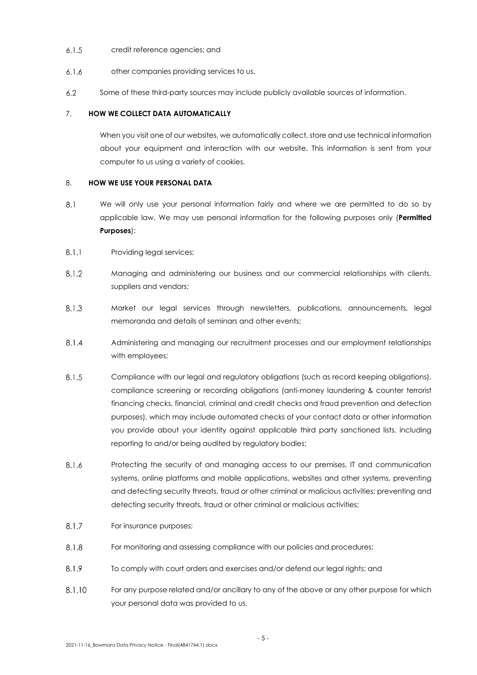- $6.1.5$ credit reference agencies; and
- $6.1.6$ other companies providing services to us.
- $6.2$ Some of these third-party sources may include publicly available sources of information.

### 7. **HOW WE COLLECT DATA AUTOMATICALLY**

When you visit one of our websites, we automatically collect, store and use technical information about your equipment and interaction with our website. This information is sent from your computer to us using a variety of cookies.

### 8. **HOW WE USE YOUR PERSONAL DATA**

- $8.1$ We will only use your personal information fairly and where we are permitted to do so by applicable law. We may use personal information for the following purposes only (**Permitted Purposes**):
- $8.1.1$ Providing legal services;
- $8.1.2$ Managing and administering our business and our commercial relationships with clients, suppliers and vendors;
- 8.1.3 Market our legal services through newsletters, publications, announcements, legal memoranda and details of seminars and other events;
- Administering and managing our recruitment processes and our employment relationships 8.1.4 with employees;
- 8.1.5 Compliance with our legal and regulatory obligations (such as record keeping obligations), compliance screening or recording obligations (anti-money laundering & counter terrorist financing checks, financial, criminal and credit checks and fraud prevention and detection purposes), which may include automated checks of your contact data or other information you provide about your identity against applicable third party sanctioned lists, including reporting to and/or being audited by regulatory bodies;
- $8.1.6$ Protecting the security of and managing access to our premises, IT and communication systems, online platforms and mobile applications, websites and other systems, preventing and detecting security threats, fraud or other criminal or malicious activities; preventing and detecting security threats, fraud or other criminal or malicious activities;
- $8.1.7$ For insurance purposes;
- 8.1.8 For monitoring and assessing compliance with our policies and procedures;
- 8.1.9 To comply with court orders and exercises and/or defend our legal rights; and
- 8.1.10 For any purpose related and/or ancillary to any of the above or any other purpose for which your personal data was provided to us.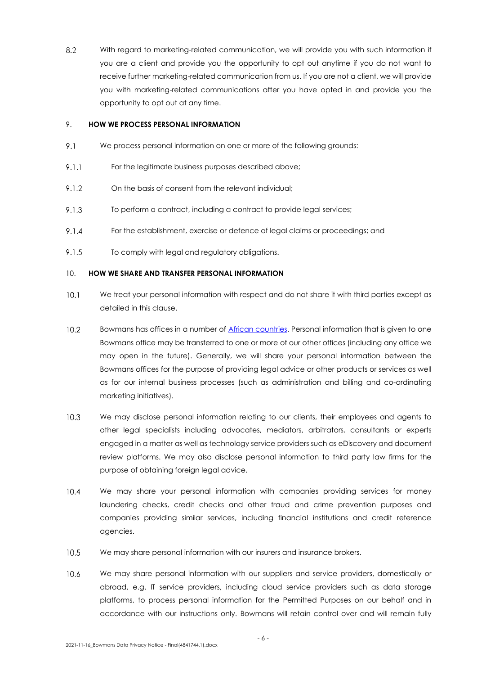8.2 With regard to marketing-related communication, we will provide you with such information if you are a client and provide you the opportunity to opt out anytime if you do not want to receive further marketing-related communication from us. If you are not a client, we will provide you with marketing-related communications after you have opted in and provide you the opportunity to opt out at any time.

### 9. **HOW WE PROCESS PERSONAL INFORMATION**

- 9.1 We process personal information on one or more of the following grounds:
- $9.1.1$ For the legitimate business purposes described above;
- 9.1.2 On the basis of consent from the relevant individual;
- 9.1.3 To perform a contract, including a contract to provide legal services;
- $9.1.4$ For the establishment, exercise or defence of legal claims or proceedings; and
- 9.1.5 To comply with legal and regulatory obligations.

#### 10. **HOW WE SHARE AND TRANSFER PERSONAL INFORMATION**

- $10.1$ We treat your personal information with respect and do not share it with third parties except as detailed in this clause.
- $10.2$ Bowmans has offices in a number of [African countries.](https://www.bowmanslaw.com/our-firm/our-african-footprint/) Personal information that is given to one Bowmans office may be transferred to one or more of our other offices (including any office we may open in the future). Generally, we will share your personal information between the Bowmans offices for the purpose of providing legal advice or other products or services as well as for our internal business processes (such as administration and billing and co-ordinating marketing initiatives).
- $10.3$ We may disclose personal information relating to our clients, their employees and agents to other legal specialists including advocates, mediators, arbitrators, consultants or experts engaged in a matter as well as technology service providers such as eDiscovery and document review platforms. We may also disclose personal information to third party law firms for the purpose of obtaining foreign legal advice.
- $10.4$ We may share your personal information with companies providing services for money laundering checks, credit checks and other fraud and crime prevention purposes and companies providing similar services, including financial institutions and credit reference agencies.
- $10.5$ We may share personal information with our insurers and insurance brokers.
- 10.6 We may share personal information with our suppliers and service providers, domestically or abroad, e.g. IT service providers, including cloud service providers such as data storage platforms, to process personal information for the Permitted Purposes on our behalf and in accordance with our instructions only. Bowmans will retain control over and will remain fully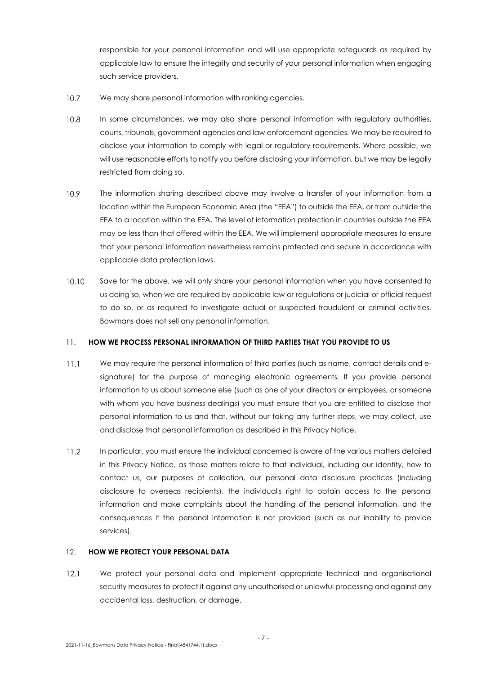responsible for your personal information and will use appropriate safeguards as required by applicable law to ensure the integrity and security of your personal information when engaging such service providers.

- $10.7$ We may share personal information with ranking agencies.
- $10.8$ In some circumstances, we may also share personal information with regulatory authorities, courts, tribunals, government agencies and law enforcement agencies. We may be required to disclose your information to comply with legal or regulatory requirements. Where possible, we will use reasonable efforts to notify you before disclosing your information, but we may be legally restricted from doing so.
- $10.9<sup>°</sup>$ The information sharing described above may involve a transfer of your information from a location within the European Economic Area (the "EEA") to outside the EEA, or from outside the EEA to a location within the EEA. The level of information protection in countries outside the EEA may be less than that offered within the EEA. We will implement appropriate measures to ensure that your personal information nevertheless remains protected and secure in accordance with applicable data protection laws.
- 10.10 Save for the above, we will only share your personal information when you have consented to us doing so, when we are required by applicable law or regulations or judicial or official request to do so, or as required to investigate actual or suspected fraudulent or criminal activities. Bowmans does not sell any personal information.

### 11. **HOW WE PROCESS PERSONAL INFORMATION OF THIRD PARTIES THAT YOU PROVIDE TO US**

- $11.1$ We may require the personal information of third parties (such as name, contact details and esignature) for the purpose of managing electronic agreements. If you provide personal information to us about someone else (such as one of your directors or employees, or someone with whom you have business dealings) you must ensure that you are entitled to disclose that personal information to us and that, without our taking any further steps, we may collect, use and disclose that personal information as described in this Privacy Notice.
- $11.2$ In particular, you must ensure the individual concerned is aware of the various matters detailed in this Privacy Notice, as those matters relate to that individual, including our identity, how to contact us, our purposes of collection, our personal data disclosure practices (including disclosure to overseas recipients), the individual's right to obtain access to the personal information and make complaints about the handling of the personal information, and the consequences if the personal information is not provided (such as our inability to provide services).

#### 12. **HOW WE PROTECT YOUR PERSONAL DATA**

We protect your personal data and implement appropriate technical and organisational  $12.1$ security measures to protect it against any unauthorised or unlawful processing and against any accidental loss, destruction, or damage.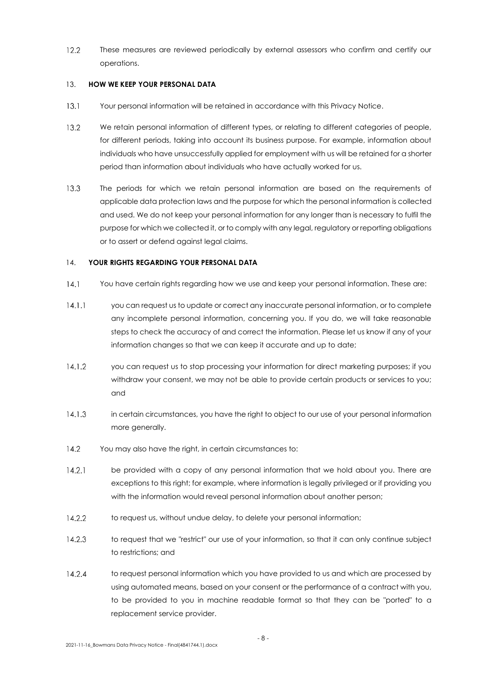$12.2$ These measures are reviewed periodically by external assessors who confirm and certify our operations.

## 13. **HOW WE KEEP YOUR PERSONAL DATA**

- $13.1$ Your personal information will be retained in accordance with this Privacy Notice.
- $13.2$ We retain personal information of different types, or relating to different categories of people, for different periods, taking into account its business purpose. For example, information about individuals who have unsuccessfully applied for employment with us will be retained for a shorter period than information about individuals who have actually worked for us.
- $13.3$ The periods for which we retain personal information are based on the requirements of applicable data protection laws and the purpose for which the personal information is collected and used. We do not keep your personal information for any longer than is necessary to fulfil the purpose for which we collected it, or to comply with any legal, regulatory or reporting obligations or to assert or defend against legal claims.

## 14. **YOUR RIGHTS REGARDING YOUR PERSONAL DATA**

- $14.1$ You have certain rights regarding how we use and keep your personal information. These are:
- $14.1.1$ you can request us to update or correct any inaccurate personal information, or to complete any incomplete personal information, concerning you. If you do, we will take reasonable steps to check the accuracy of and correct the information. Please let us know if any of your information changes so that we can keep it accurate and up to date;
- $14.1.2$ you can request us to stop processing your information for direct marketing purposes; if you withdraw your consent, we may not be able to provide certain products or services to you; and
- $14.1.3$ in certain circumstances, you have the right to object to our use of your personal information more generally.
- $14.2$ You may also have the right, in certain circumstances to:
- $14.2.1$ be provided with a copy of any personal information that we hold about you. There are exceptions to this right; for example, where information is legally privileged or if providing you with the information would reveal personal information about another person:
- 14.2.2 to request us, without undue delay, to delete your personal information;
- $14.2.3$ to request that we "restrict" our use of your information, so that it can only continue subject to restrictions; and
- $14.2.4$ to request personal information which you have provided to us and which are processed by using automated means, based on your consent or the performance of a contract with you, to be provided to you in machine readable format so that they can be "ported" to a replacement service provider.